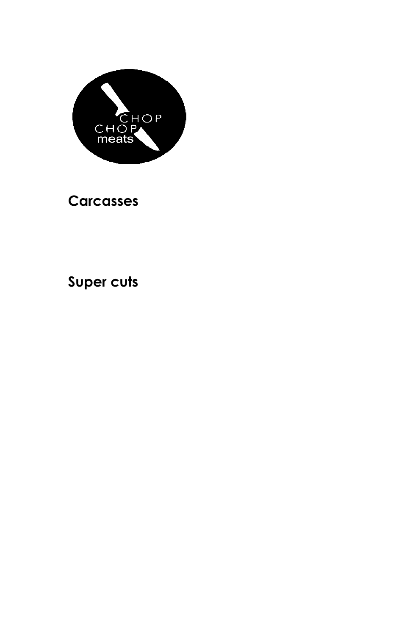

## **Carcasses**

# **Super cuts**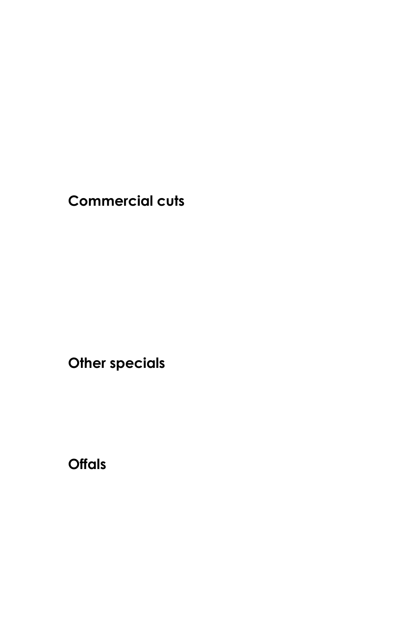**Commercial cuts**

**Other specials**

**Offals**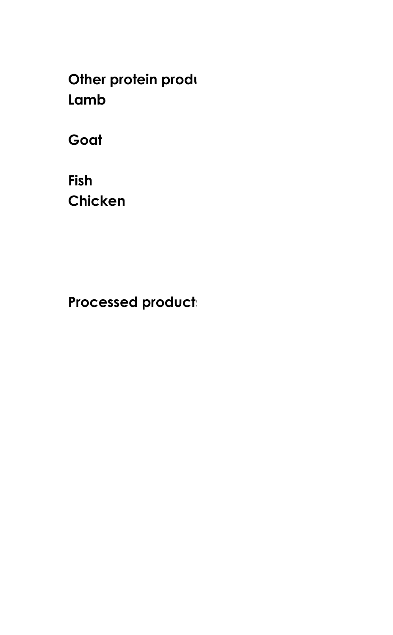**Other protein produ Lamb**

**Goat**

**Fish Chicken**

**Processed products**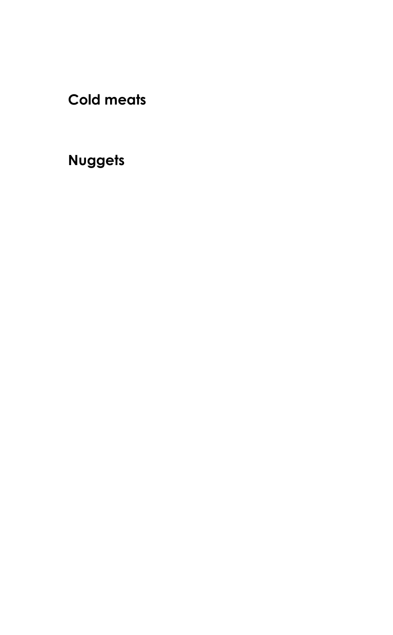**Cold meats**

# **Nuggets**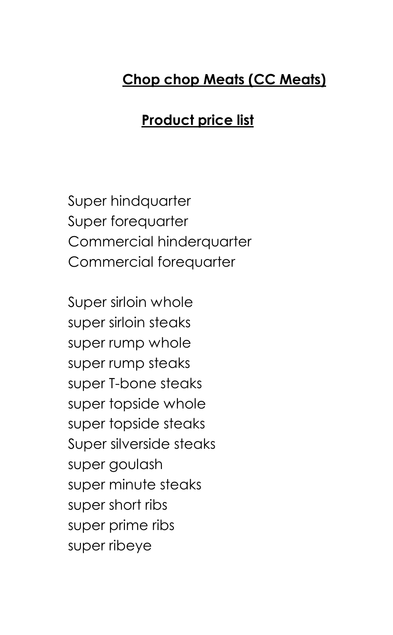## **Chop chop Meats (CC Meats)**

### **Product price list**

Super hindquarter Super forequarter Commercial hinderquarter Commercial forequarter

Super sirloin whole super sirloin steaks super rump whole super rump steaks super T-bone steaks super topside whole super topside steaks Super silverside steaks super goulash super minute steaks super short ribs super prime ribs super ribeye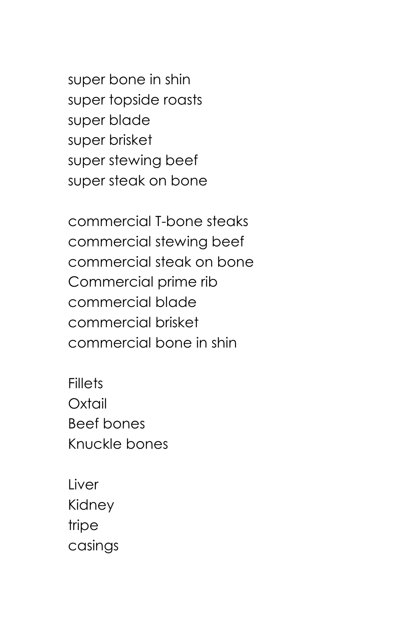super bone in shin super topside roasts super blade super brisket super stewing beef super steak on bone

commercial T-bone steaks commercial stewing beef commercial steak on bone Commercial prime rib commercial blade commercial brisket commercial bone in shin

**Fillets** Oxtail Beef bones Knuckle bones

Liver Kidney tripe casings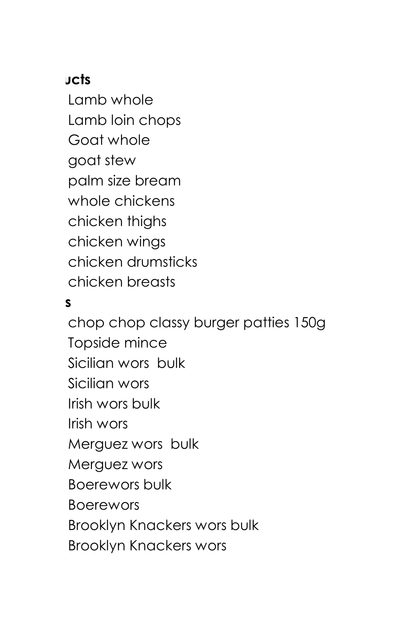### **Jcts**

Lamb whole Lamb loin chops Goat whole goat stew palm size bream whole chickens chicken thighs chicken wings chicken drumsticks chicken breasts

#### **Processed products**

chop chop classy burger patties 150g Topside mince Sicilian wors bulk Sicilian wors Irish wors bulk Irish wors Merguez wors bulk Merguez wors Boerewors bulk Boerewors Brooklyn Knackers wors bulk Brooklyn Knackers wors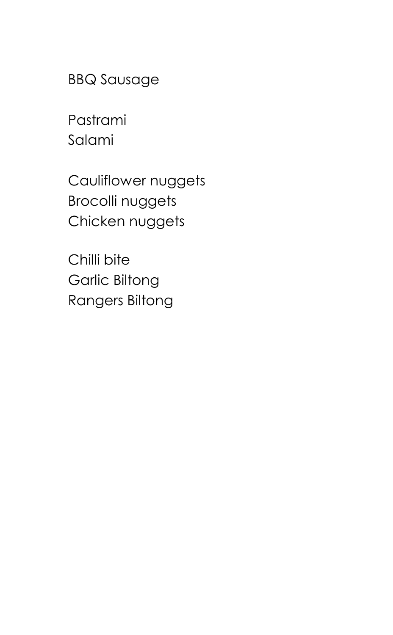BBQ Sausage

Pastrami Salami

Cauliflower nuggets Brocolli nuggets Chicken nuggets

Chilli bite Garlic Biltong Rangers Biltong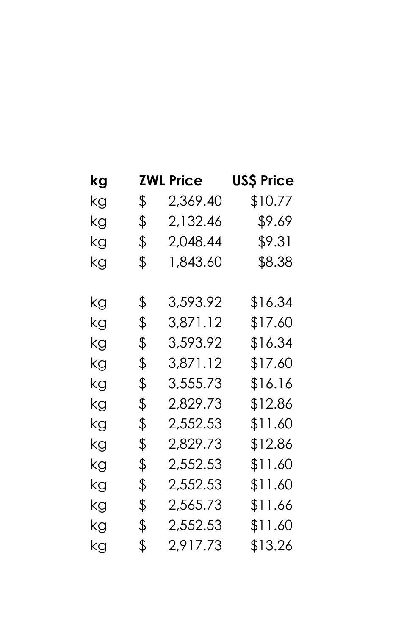| kg | <b>ZWL Price</b> | US\$ Price |
|----|------------------|------------|
| kg | \$<br>2,369.40   | \$10.77    |
| kg | \$<br>2,132.46   | \$9.69     |
| kg | \$<br>2,048.44   | \$9.31     |
| kg | \$<br>1,843.60   | \$8.38     |
| kg | \$<br>3,593.92   | \$16.34    |
| kg | \$<br>3,871.12   | \$17.60    |
| kg | \$<br>3,593.92   | \$16.34    |
| kg | \$<br>3,871.12   | \$17.60    |
| kg | \$<br>3,555.73   | \$16.16    |
| kg | \$<br>2,829.73   | \$12.86    |
| kg | \$<br>2,552.53   | \$11.60    |
| kg | \$<br>2,829.73   | \$12.86    |
| kg | \$<br>2,552.53   | \$11.60    |
| kg | \$<br>2,552.53   | \$11.60    |
| kg | \$<br>2,565.73   | \$11.66    |
| kg | \$<br>2,552.53   | \$11.60    |
| kg | \$<br>2,917.73   | \$13.26    |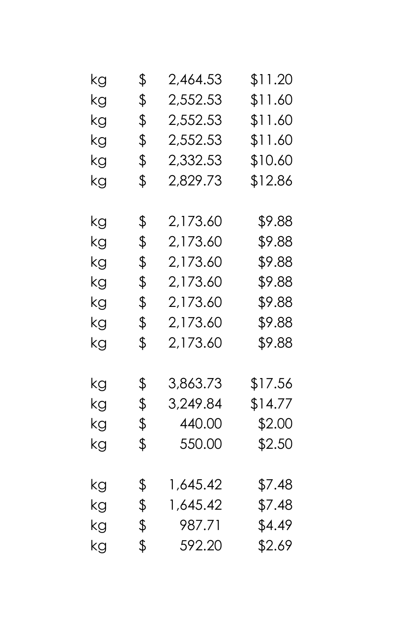| kg | \$<br>2,464.53 | \$11.20 |
|----|----------------|---------|
| kg | \$<br>2,552.53 | \$11.60 |
| kg | \$<br>2,552.53 | \$11.60 |
| kg | \$<br>2,552.53 | \$11.60 |
| kg | \$<br>2,332.53 | \$10.60 |
| kg | \$<br>2,829.73 | \$12.86 |
| kg | \$<br>2,173.60 | \$9.88  |
| kg | \$<br>2,173.60 | \$9.88  |
| kg | \$<br>2,173.60 | \$9.88  |
| kg | \$<br>2,173.60 | \$9.88  |
| kg | \$<br>2,173.60 | \$9.88  |
| kg | \$<br>2,173.60 | \$9.88  |
| kg | \$<br>2,173.60 | \$9.88  |
| kg | \$<br>3,863.73 | \$17.56 |
| kg | \$<br>3,249.84 | \$14.77 |
| kg | \$<br>440.00   | \$2.00  |
| kg | \$<br>550.00   | \$2.50  |
| kg | \$<br>1,645.42 | \$7.48  |
| kg | \$<br>1,645.42 | \$7.48  |
| kg | \$<br>987.71   | \$4.49  |
| kg | \$<br>592.20   | \$2.69  |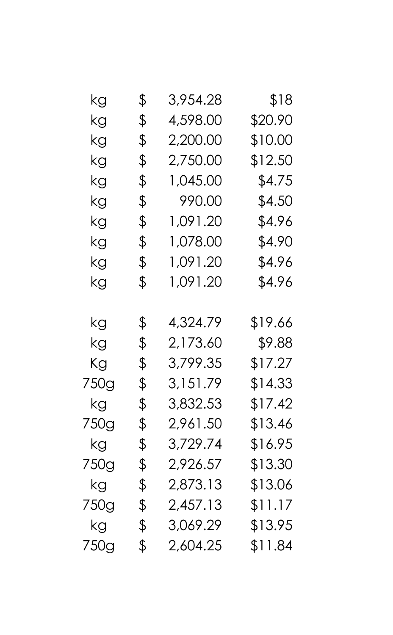| kg   | \$<br>3,954.28 | \$18    |
|------|----------------|---------|
|      |                |         |
| kg   | \$<br>4,598.00 | \$20.90 |
| kg   | \$<br>2,200.00 | \$10.00 |
| kg   | \$<br>2,750.00 | \$12.50 |
| kg   | \$<br>1,045.00 | \$4.75  |
| kg   | \$<br>990.00   | \$4.50  |
| kg   | \$<br>1,091.20 | \$4.96  |
| kg   | \$<br>1,078.00 | \$4.90  |
| kg   | \$<br>1,091.20 | \$4.96  |
| kg   | \$<br>1,091.20 | \$4.96  |
|      |                |         |
| kg   | \$<br>4,324.79 | \$19.66 |
| kg   | \$<br>2,173.60 | \$9.88  |
| Кg   | \$<br>3,799.35 | \$17.27 |
| 750g | \$<br>3,151.79 | \$14.33 |
| kg   | \$<br>3,832.53 | \$17.42 |
| 750g | \$<br>2,961.50 | \$13.46 |
| kg   | \$<br>3,729.74 | \$16.95 |
| 750g | \$<br>2,926.57 | \$13.30 |
| kg   | \$<br>2,873.13 | \$13.06 |
| 750g | \$<br>2,457.13 | \$11.17 |
| kg   | \$<br>3,069.29 | \$13.95 |
| 750g | \$<br>2,604.25 | \$11.84 |